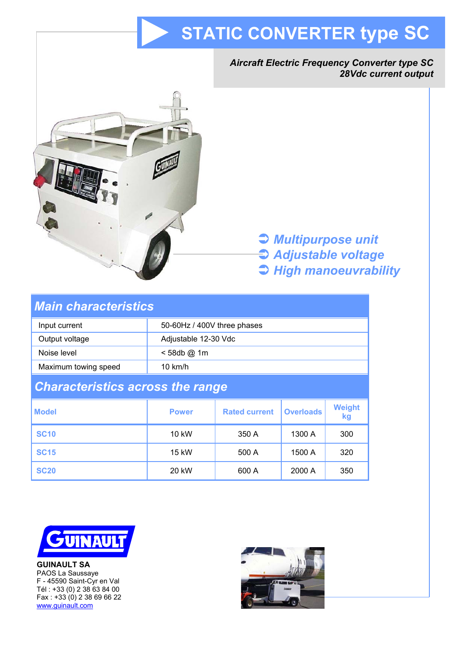# **STATIC CONVERTER type SC**





# Â *Multipurpose unit*  Â *Adjustable voltage*  Â *High manoeuvrability*

| <b>Main characteristics</b>             |                             |                      |                  |                     |
|-----------------------------------------|-----------------------------|----------------------|------------------|---------------------|
| Input current                           | 50-60Hz / 400V three phases |                      |                  |                     |
| Output voltage                          | Adjustable 12-30 Vdc        |                      |                  |                     |
| Noise level                             | <58db@1m                    |                      |                  |                     |
| Maximum towing speed                    | $10 \text{ km/h}$           |                      |                  |                     |
| <b>Characteristics across the range</b> |                             |                      |                  |                     |
| <b>Model</b>                            | <b>Power</b>                | <b>Rated current</b> | <b>Overloads</b> | <b>Weight</b><br>kg |
| <b>SC10</b>                             | 10 kW                       | 350 A                | 1300 A           | 300                 |
| <b>SC15</b>                             | 15 kW                       | 500 A                | 1500 A           | 320                 |
| <b>SC20</b>                             | 20 kW                       | 600 A                | 2000 A           | 350                 |



**GUINAULT SA**  PAOS La Saussaye F - 45590 Saint-Cyr en Val Tél : +33 (0) 2 38 63 84 00 Fax : +33 (0) 2 38 69 66 22 www.guinault.com